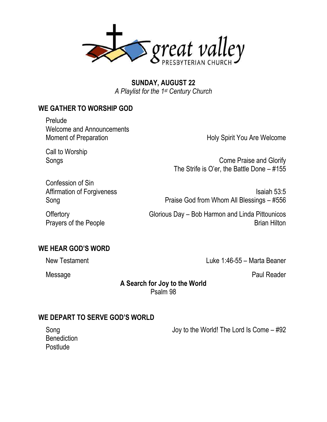

**SUNDAY, AUGUST 22** *A Playlist for the 1st Century Church*

## **WE GATHER TO WORSHIP GOD**

Prelude Welcome and Announcements Moment of Preparation **Holy Spirit You Are Welcome** 

Call to Worship

Songs Come Praise and Glorify The Strife is O'er, the Battle Done – #155

Confession of Sin Affirmation of Forgiveness **Isaiah 53:5** Song Praise God from Whom All Blessings – #556

Prayers of the People **Brian Hilton** Brian Hilton

Offertory Glorious Day – Bob Harmon and Linda Pittounicos

#### **WE HEAR GOD'S WORD**

New Testament **New Testament** 2.16-55 – Marta Beaner

Message Paul Reader

**A Search for Joy to the World** Psalm 98

#### **WE DEPART TO SERVE GOD'S WORLD**

**Benediction** Postlude

Song Song Song The Lord Is Come – #92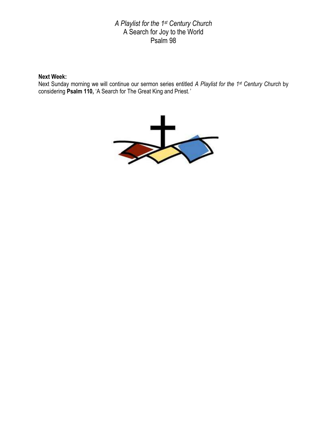#### *A Playlist for the 1st Century Church* A Search for Joy to the World Psalm 98

#### **Next Week:**

Next Sunday morning we will continue our sermon series entitled *A Playlist for the 1st Century Church* by considering **Psalm 110,** 'A Search for The Great King and Priest*.'*

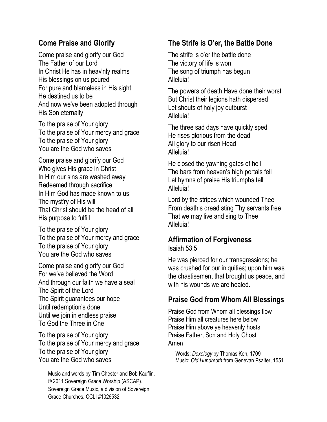# **Come Praise and Glorify**

Come praise and glorify our God The Father of our Lord In Christ He has in heav'nly realms His blessings on us poured For pure and blameless in His sight He destined us to be And now we've been adopted through His Son eternally

To the praise of Your glory To the praise of Your mercy and grace To the praise of Your glory You are the God who saves

Come praise and glorify our God Who gives His grace in Christ In Him our sins are washed away Redeemed through sacrifice In Him God has made known to us The myst'ry of His will That Christ should be the head of all His purpose to fulfill

To the praise of Your glory To the praise of Your mercy and grace To the praise of Your glory You are the God who saves

Come praise and glorify our God For we've believed the Word And through our faith we have a seal The Spirit of the Lord The Spirit guarantees our hope Until redemption's done Until we join in endless praise To God the Three in One

To the praise of Your glory To the praise of Your mercy and grace To the praise of Your glory You are the God who saves

Music and words by Tim Chester and Bob Kauflin. © 2011 Sovereign Grace Worship (ASCAP). Sovereign Grace Music, a division of Sovereign Grace Churches. CCLI #1026532

# **The Strife is O'er, the Battle Done**

The strife is o'er the battle done The victory of life is won The song of triumph has begun Alleluia!

The powers of death Have done their worst But Christ their legions hath dispersed Let shouts of holy joy outburst Alleluia!

The three sad days have quickly sped He rises glorious from the dead All glory to our risen Head Alleluia!

He closed the yawning gates of hell The bars from heaven's high portals fell Let hymns of praise His triumphs tell Alleluia!

Lord by the stripes which wounded Thee From death's dread sting Thy servants free That we may live and sing to Thee Alleluia!

## **Affirmation of Forgiveness**

Isaiah 53:5

He was pierced for our transgressions; he was crushed for our iniquities; upon him was the chastisement that brought us peace, and with his wounds we are healed.

# **Praise God from Whom All Blessings**

Praise God from Whom all blessings flow Praise Him all creatures here below Praise Him above ye heavenly hosts Praise Father, Son and Holy Ghost Amen

Words: *Doxology* by Thomas Ken, 1709 Music: *Old Hundredth* from Genevan Psalter, 1551